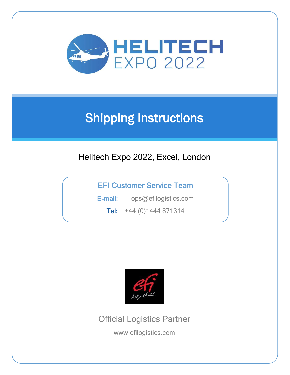

# Shipping Instructions

# Helitech Expo 2022, Excel, London

EFI Customer Service Team

E-mail: [ops@efilogistics.com](mailto:ops@efilogistics.com)

Tel: +44 (0)1444 871314



Official Logistics Partner

www.efilogistics.com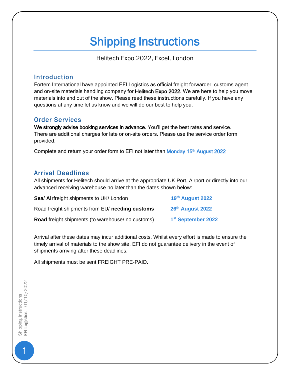# Shipping Instructions

Helitech Expo 2022, Excel, London

# Introduction

Fortem International have appointed EFI Logistics as official freight forwarder, customs agent and on-site materials handling company for Helitech Expo 2022. We are here to help you move materials into and out of the show. Please read these instructions carefully. If you have any questions at any time let us know and we will do our best to help you.

# Order Services

We strongly advise booking services in advance. You'll get the best rates and service. There are additional charges for late or on-site orders. Please use the service order form provided.

Complete and return your order form to EFI not later than Monday 15<sup>th</sup> August 2022

# Arrival Deadlines

All shipments for Helitech should arrive at the appropriate UK Port, Airport or directly into our advanced receiving warehouse no later than the dates shown below:

| Sea/ Airfreight shipments to UK/ London          | 19th August 2022               |
|--------------------------------------------------|--------------------------------|
| Road freight shipments from EU/ needing customs  | 26th August 2022               |
| Road freight shipments (to warehouse/no customs) | 1 <sup>st</sup> September 2022 |

Arrival after these dates may incur additional costs. Whilst every effort is made to ensure the timely arrival of materials to the show site, EFI do not guarantee delivery in the event of shipments arriving after these deadlines.

All shipments must be sent FREIGHT PRE-PAID.

1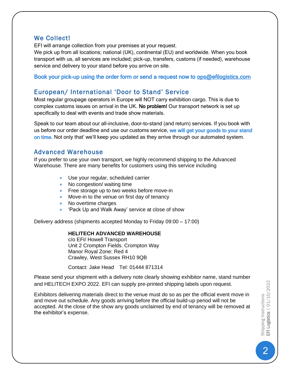### We Collect!

EFI will arrange collection from your premises at your request.

We pick up from all locations; national (UK), continental (EU) and worldwide. When you book transport with us, all services are included; pick-up, transfers, customs (if needed), warehouse service and delivery to your stand before you arrive on site.

#### Book your pick-up using the order form or send a request now to [ops@efilogistics.com](mailto:ops@efilogistics.com)

# European/ International 'Door to Stand' Service

Most regular groupage operators in Europe will NOT carry exhibition cargo. This is due to complex customs issues on arrival in the UK. No problem! Our transport network is set up specifically to deal with events and trade show materials.

Speak to our team about our all-inclusive, door-to-stand (and return) services. If you book with us before our order deadline and use our customs service, we will get your goods to your stand on time. Not only that' we'll keep you updated as they arrive through our automated system.

#### Advanced Warehouse

If you prefer to use your own transport, we highly recommend shipping to the Advanced Warehouse. There are many benefits for customers using this service including

- Use your regular, scheduled carrier
- No congestion/ waiting time
- Free storage up to two weeks before move-in
- Move-in to the venue on first day of tenancy
- No overtime charges
- 'Pack Up and Walk Away' service at close of show

Delivery address (shipments accepted Monday to Friday 09:00 – 17:00)

#### **HELITECH ADVANCED WAREHOUSE**

c/o EFI/ Howell Transport Unit 2 Crompton Fields. Crompton Way Manor Royal Zone: Red 4 Crawley, West Sussex RH10 9QB

Contact: Jake Head Tel: 01444 871314

Please send your shipment with a delivery note clearly showing exhibitor name, stand number and HELITECH EXPO 2022. EFI can supply pre-printed shipping labels upon request.

Exhibitors delivering materials direct to the venue must do so as per the official event move in and move out schedule. Any goods arriving before the official build-up period will not be accepted. At the close of the show any goods unclaimed by end of tenancy will be removed at the exhibitor's expense.

Shipping Instructions<br>EFI Logistics | 01/10/202 Shipping Instructions<br>EFI Logistics | 01/10/2022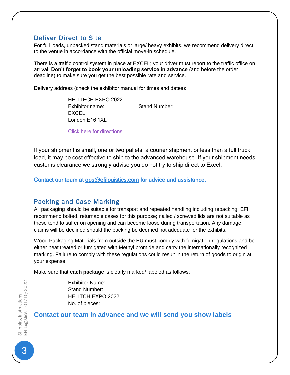# Deliver Direct to Site

For full loads, unpacked stand materials or large/ heavy exhibits, we recommend delivery direct to the venue in accordance with the official move-in schedule.

There is a traffic control system in place at EXCEL; your driver must report to the traffic office on arrival. **Don't forget to book your unloading service in advance** (and before the order deadline) to make sure you get the best possible rate and service.

Delivery address (check the exhibitor manual for times and dates):

HELITECH EXPO 2022 Exhibitor name: <br>
Stand Number: **EXCEL** London E16 1XL

[Click here for directions](http://www.excel-london.co.uk/visitors/travel/byroad)

If your shipment is small, one or two pallets, a courier shipment or less than a full truck load, it may be cost effective to ship to the advanced warehouse. If your shipment needs customs clearance we strongly advise you do not try to ship direct to Excel.

Contact our team at [ops@efilogistics.com](mailto:ops@efilogistics.com) for advice and assistance.

## Packing and Case Marking

All packaging should be suitable for transport and repeated handling including repacking. EFI recommend bolted, returnable cases for this purpose; nailed / screwed lids are not suitable as these tend to suffer on opening and can become loose during transportation. Any damage claims will be declined should the packing be deemed not adequate for the exhibits.

Wood Packaging Materials from outside the EU must comply with fumigation regulations and be either heat treated or fumigated with Methyl bromide and carry the internationally recognized marking. Failure to comply with these regulations could result in the return of goods to origin at your expense.

Make sure that **each package** is clearly marked/ labeled as follows:

Exhibitor Name: Stand Number: HELITCH EXPO 2022 No. of pieces:

#### **Contact our team in advance and we will send you show labels**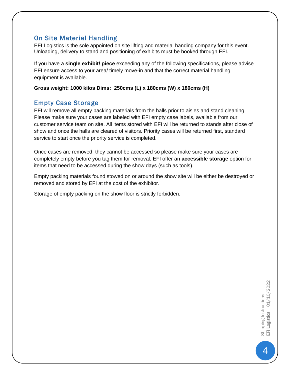# On Site Material Handling

EFI Logistics is the sole appointed on site lifting and material handing company for this event. Unloading, delivery to stand and positioning of exhibits must be booked through EFI.

If you have a **single exhibit/ piece** exceeding any of the following specifications, please advise EFI ensure access to your area/ timely move-in and that the correct material handling equipment is available.

**Gross weight: 1000 kilos Dims: 250cms (L) x 180cms (W) x 180cms (H)**

# Empty Case Storage

EFI will remove all empty packing materials from the halls prior to aisles and stand cleaning. Please make sure your cases are labeled with EFI empty case labels, available from our customer service team on site. All items stored with EFI will be returned to stands after close of show and once the halls are cleared of visitors. Priority cases will be returned first, standard service to start once the priority service is completed.

Once cases are removed, they cannot be accessed so please make sure your cases are completely empty before you tag them for removal. EFI offer an **accessible storage** option for items that need to be accessed during the show days (such as tools).

Empty packing materials found stowed on or around the show site will be either be destroyed or removed and stored by EFI at the cost of the exhibitor.

Storage of empty packing on the show floor is strictly forbidden.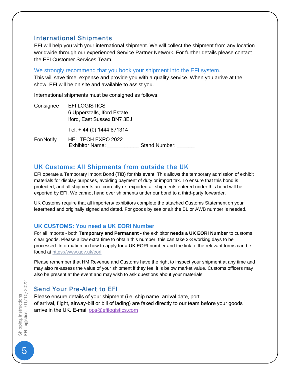#### International Shipments

EFI will help you with your international shipment. We will collect the shipment from any location worldwide through our experienced Service Partner Network. For further details please contact the EFI Customer Services Team.

We strongly recommend that you book your shipment into the EFI system.

This will save time, expense and provide you with a quality service. When you arrive at the show, EFI will be on site and available to assist you.

International shipments must be consigned as follows:

| Consignee  | <b>EFILOGISTICS</b>                                 |               |
|------------|-----------------------------------------------------|---------------|
|            | 6 Upperstalls, Iford Estate                         |               |
|            | Iford, East Sussex BN7 3EJ                          |               |
|            | Tel. + 44 (0) 1444 871314                           |               |
| For/Notify | <b>HELITECH EXPO 2022</b><br><b>Exhibitor Name:</b> | Stand Number: |

# UK Customs: All Shipments from outside the UK

EFI operate a Temporary Import Bond (TIB) for this event. This allows the temporary admission of exhibit materials for display purposes, avoiding payment of duty or import tax. To ensure that this bond is protected, and all shipments are correctly re- exported all shipments entered under this bond will be exported by EFI. We cannot hand over shipments under our bond to a third-party forwarder.

UK Customs require that all importers/ exhibitors complete the attached Customs Statement on your letterhead and originally signed and dated. For goods by sea or air the BL or AWB number is needed.

#### **UK CUSTOMS: You need a UK EORI Number**

For all imports - both **Temporary and Permanent -** the exhibitor **needs a UK EORI Number** to customs clear goods. Please allow extra time to obtain this number, this can take 2-3 working days to be processed. Information on how to apply for a UK EORI number and the link to the relevant forms can be found at<https://www.gov.uk/eori>

Please remember that HM Revenue and Customs have the right to inspect your shipment at any time and may also re-assess the value of your shipment if they feel it is below market value. Customs officers may also be present at the event and may wish to ask questions about your materials.

# Send Your Pre-Alert to EFI

Please ensure details of your shipment (i.e. ship name, arrival date, port of arrival, flight, airway-bill or bill of lading) are faxed directly to our team before your goods arrive in the UK. E-mail [ops@efilogistics.com](mailto:ops@efilogistics.com)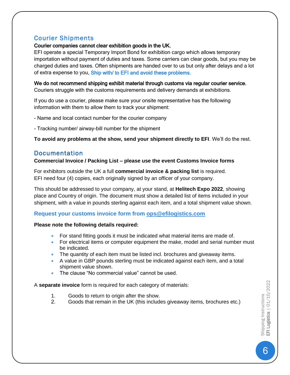## Courier Shipments

#### Courier companies cannot clear exhibition goods in the UK.

EFI operate a special Temporary Import Bond for exhibition cargo which allows temporary importation without payment of duties and taxes. Some carriers can clear goods, but you may be charged duties and taxes. Often shipments are handed over to us but only after delays and a lot of extra expense to you. Ship with/ to EFI and avoid these problems.

We do not recommend shipping exhibit material through customs via regular courier service. Couriers struggle with the customs requirements and delivery demands at exhibitions.

If you do use a courier, please make sure your onsite representative has the following information with them to allow them to track your shipment:

- Name and local contact number for the courier company

- Tracking number/ airway-bill number for the shipment

**To avoid any problems at the show, send your shipment directly to EFI**. We'll do the rest.

# **Documentation**

#### **Commercial Invoice / Packing List – please use the event Customs Invoice forms**

For exhibitors outside the UK a full **commercial invoice & packing list** is required. EFI need four (4) copies, each originally signed by an officer of your company.

This should be addressed to your company, at your stand, at **Helitech Expo 2022**, showing place and Country of origin. The document must show a detailed list of items included in your shipment, with a value in pounds sterling against each item, and a total shipment value shown.

#### **Request your customs invoice form from [ops@efilogistics.com](mailto:ops@efilogistics.com)**

#### **Please note the following details required:**

- For stand fitting goods it must be indicated what material items are made of.
- For electrical items or computer equipment the make, model and serial number must be indicated.
- The quantity of each item must be listed incl. brochures and giveaway items.
- A value in GBP pounds sterling must be indicated against each item, and a total shipment value shown.
- The clause "No commercial value" cannot be used.

A **separate invoice** form is required for each category of materials:

- 1. Goods to return to origin after the show.
- 2. Goods that remain in the UK (this includes giveaway items, brochures etc.)

Shipping Instructions<br>EFI Logistics | 01/10/202 Shipping Instructions<br>EFI Logistics | 01/10/2022